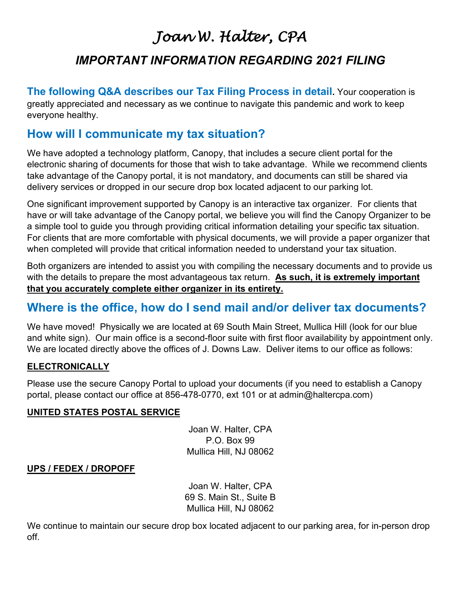# *Joan W. Halter, CPA IMPORTANT INFORMATION REGARDING 2021 FILING*

**The following Q&A describes our Tax Filing Process in detail.** Your cooperation is greatly appreciated and necessary as we continue to navigate this pandemic and work to keep everyone healthy.

### **How will I communicate my tax situation?**

We have adopted a technology platform, Canopy, that includes a secure client portal for the electronic sharing of documents for those that wish to take advantage. While we recommend clients take advantage of the Canopy portal, it is not mandatory, and documents can still be shared via delivery services or dropped in our secure drop box located adjacent to our parking lot.

One significant improvement supported by Canopy is an interactive tax organizer. For clients that have or will take advantage of the Canopy portal, we believe you will find the Canopy Organizer to be a simple tool to guide you through providing critical information detailing your specific tax situation. For clients that are more comfortable with physical documents, we will provide a paper organizer that when completed will provide that critical information needed to understand your tax situation.

Both organizers are intended to assist you with compiling the necessary documents and to provide us with the details to prepare the most advantageous tax return. **As such, it is extremely important that you accurately complete either organizer in its entirety.**

# **Where is the office, how do I send mail and/or deliver tax documents?**

We have moved! Physically we are located at 69 South Main Street, Mullica Hill (look for our blue and white sign). Our main office is a second-floor suite with first floor availability by appointment only. We are located directly above the offices of J. Downs Law. Deliver items to our office as follows:

#### **ELECTRONICALLY**

Please use the secure Canopy Portal to upload your documents (if you need to establish a Canopy portal, please contact our office at 856-478-0770, ext 101 or at admin@haltercpa.com)

#### **UNITED STATES POSTAL SERVICE**

Joan W. Halter, CPA P.O. Box 99 Mullica Hill, NJ 08062

#### **UPS / FEDEX / DROPOFF**

Joan W. Halter, CPA 69 S. Main St., Suite B Mullica Hill, NJ 08062

We continue to maintain our secure drop box located adjacent to our parking area, for in-person drop off.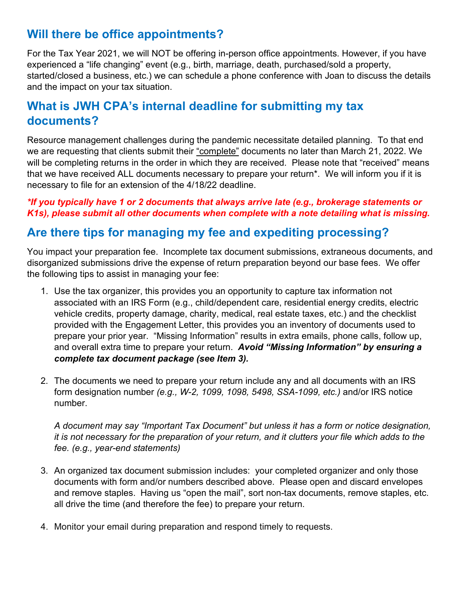# **Will there be office appointments?**

For the Tax Year 2021, we will NOT be offering in-person office appointments. However, if you have experienced a "life changing" event (e.g., birth, marriage, death, purchased/sold a property, started/closed a business, etc.) we can schedule a phone conference with Joan to discuss the details and the impact on your tax situation.

# **What is JWH CPA's internal deadline for submitting my tax documents?**

Resource management challenges during the pandemic necessitate detailed planning. To that end we are requesting that clients submit their "complete" documents no later than March 21, 2022. We will be completing returns in the order in which they are received. Please note that "received" means that we have received ALL documents necessary to prepare your return\*. We will inform you if it is necessary to file for an extension of the 4/18/22 deadline.

#### *\*If you typically have 1 or 2 documents that always arrive late (e.g., brokerage statements or K1s), please submit all other documents when complete with a note detailing what is missing.*

# **Are there tips for managing my fee and expediting processing?**

You impact your preparation fee. Incomplete tax document submissions, extraneous documents, and disorganized submissions drive the expense of return preparation beyond our base fees. We offer the following tips to assist in managing your fee:

- 1. Use the tax organizer, this provides you an opportunity to capture tax information not associated with an IRS Form (e.g., child/dependent care, residential energy credits, electric vehicle credits, property damage, charity, medical, real estate taxes, etc.) and the checklist provided with the Engagement Letter, this provides you an inventory of documents used to prepare your prior year. "Missing Information" results in extra emails, phone calls, follow up, and overall extra time to prepare your return. *Avoid "Missing Information" by ensuring a complete tax document package (see Item 3).*
- 2. The documents we need to prepare your return include any and all documents with an IRS form designation number *(e.g., W-2, 1099, 1098, 5498, SSA-1099, etc.)* and/or IRS notice number.

*A document may say "Important Tax Document" but unless it has a form or notice designation, it is not necessary for the preparation of your return, and it clutters your file which adds to the fee. (e.g., year-end statements)*

- 3. An organized tax document submission includes: your completed organizer and only those documents with form and/or numbers described above. Please open and discard envelopes and remove staples. Having us "open the mail", sort non-tax documents, remove staples, etc. all drive the time (and therefore the fee) to prepare your return.
- 4. Monitor your email during preparation and respond timely to requests.